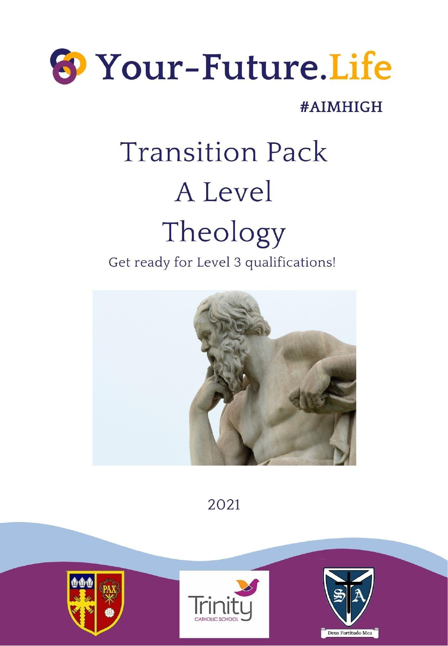

### #AIMHIGH

# **Transition Pack** A Level Theology

Get ready for Level 3 qualifications!



2021

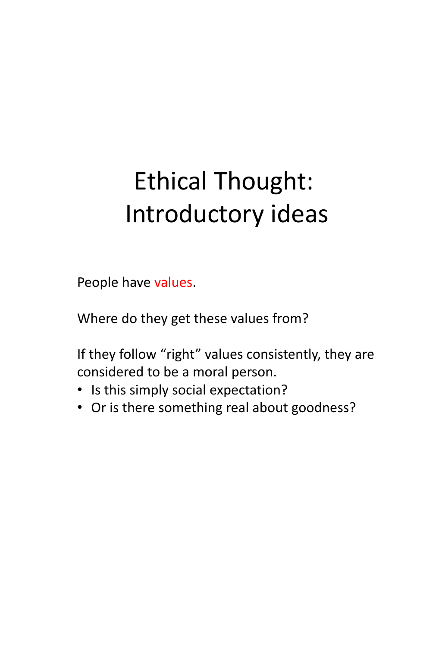## Ethical Thought: Introductory ideas

People have values.

Where do they get these values from?

If they follow "right" values consistently, they are considered to be a moral person.

- Is this simply social expectation?
- Or is there something real about goodness?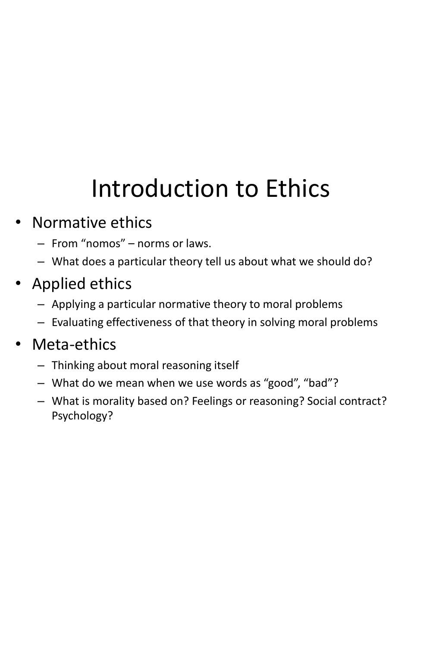## Introduction to Ethics

### • Normative ethics

- From "nomos" norms or laws.
- What does a particular theory tell us about what we should do?
- Applied ethics
	- Applying a particular normative theory to moral problems
	- Evaluating effectiveness of that theory in solving moral problems

### • Meta-ethics

- Thinking about moral reasoning itself
- What do we mean when we use words as "good", "bad"?
- What is morality based on? Feelings or reasoning? Social contract? Psychology?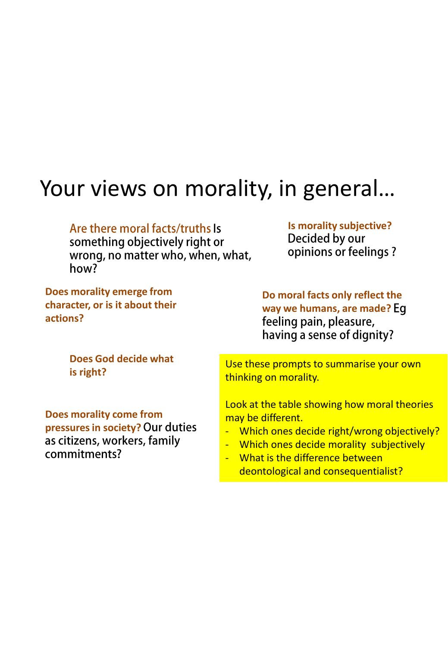### Your views on morality, in general…

#### Are there moral facts/truths Is

something objectively right or wrong, no matter who, when, what, how?

**Is morality subjective?**  opinions or feelings?

**Does morality emerge from character, or is it about their actions?**

**Do moral facts only reflect the way we humans, are made?**  feeling pain, pleasure, having a sense of dignity?

**Does God decide what is right?**

**Does morality come from pressures in society?**  as citizens, workers, family commitments?

Use these prompts to summarise your own thinking on morality.

Look at the table showing how moral theories may be different.

- Which ones decide right/wrong objectively?
- Which ones decide morality subjectively
- What is the difference between deontological and consequentialist?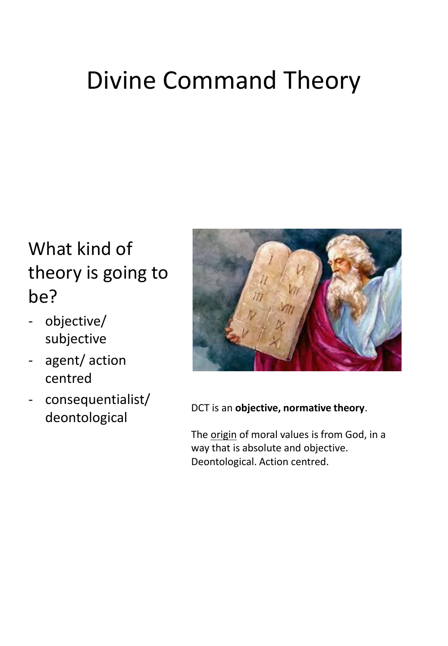## Divine Command Theory

### What kind of theory is going to be?

- objective/ subjective
- agent/ action centred
- consequentialist/ deontological



DCT is an **objective, normative theory**.

The origin of moral values is from God, in a way that is absolute and objective. Deontological. Action centred.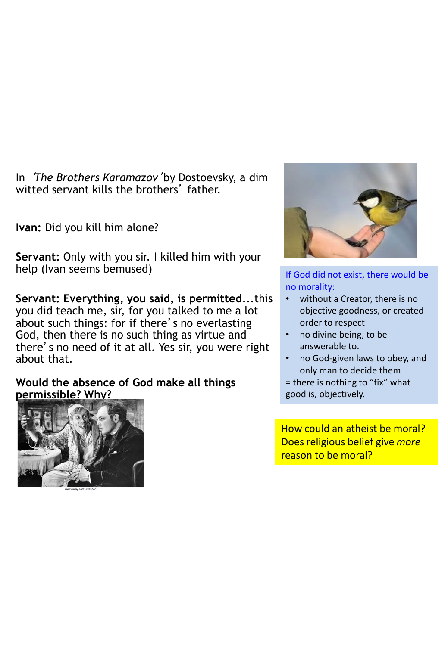In '*The Brothers Karamazov*'by Dostoevsky, a dim witted servant kills the brothers' father.

**Ivan:** Did you kill him alone?

**Servant:** Only with you sir. I killed him with your help (Ivan seems bemused)

**Servant: Everything, you said, is permitted**...this you did teach me, sir, for you talked to me a lot about such things: for if there's no everlasting God, then there is no such thing as virtue and there's no need of it at all. Yes sir, you were right about that.

**Would the absence of God make all things permissible? Why?**





If God did not exist, there would be no morality:

- without a Creator, there is no objective goodness, or created order to respect
- no divine being, to be answerable to.
- no God-given laws to obey, and only man to decide them

= there is nothing to "fix" what good is, objectively.

How could an atheist be moral? Does religious belief give *more* reason to be moral?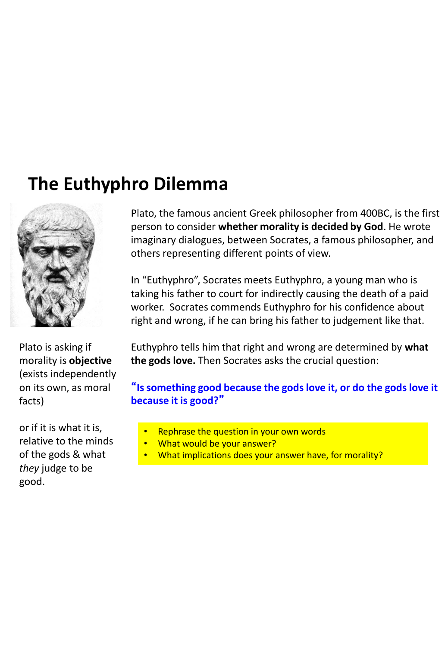### **The Euthyphro Dilemma**



Plato, the famous ancient Greek philosopher from 400BC, is the first person to consider **whether morality is decided by God**. He wrote imaginary dialogues, between Socrates, a famous philosopher, and others representing different points of view.

In "Euthyphro", Socrates meets Euthyphro, a young man who is taking his father to court for indirectly causing the death of a paid worker. Socrates commends Euthyphro for his confidence about right and wrong, if he can bring his father to judgement like that.

Plato is asking if morality is **objective** (exists independently on its own, as moral facts)

or if it is what it is, relative to the minds of the gods & what *they* judge to be good.

Euthyphro tells him that right and wrong are determined by **what the gods love.** Then Socrates asks the crucial question:

#### "**Is something good because the gods love it, or do the gods love it because it is good?**"

- Rephrase the question in your own words
- What would be your answer?
- What implications does your answer have, for morality?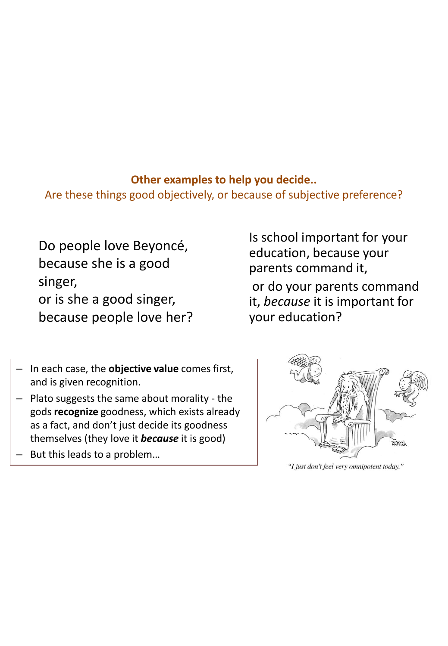#### **Other examples to help you decide..**

Are these things good objectively, or because of subjective preference?

Do people love Beyoncé, because she is a good singer, or is she a good singer, because people love her? Is school important for your education, because your parents command it,

or do your parents command it, *because* it is important for your education?

- In each case, the **objective value** comes first, and is given recognition.
- Plato suggests the same about morality the gods **recognize** goodness, which exists already as a fact, and don't just decide its goodness themselves (they love it *because* it is good)
- But this leads to a problem...



"I just don't feel very omnipotent today."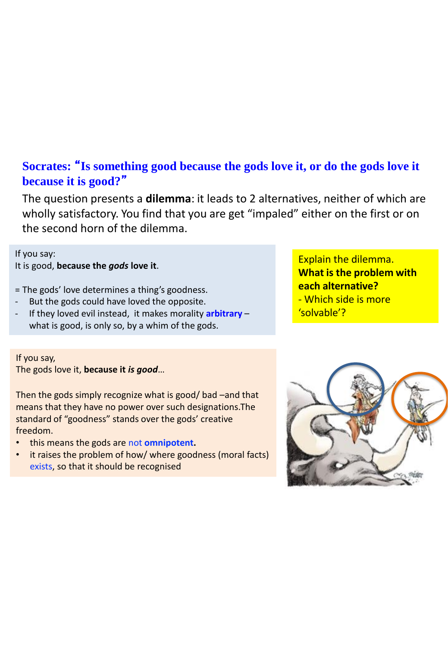#### **Socrates:** "**Is something good because the gods love it, or do the gods love it because it is good?**"

The question presents a **dilemma**: it leads to 2 alternatives, neither of which are wholly satisfactory. You find that you are get "impaled" either on the first or on the second horn of the dilemma.

If you say: It is good, **because the** *gods* **love it**.

= The gods' love determines a thing's goodness.

- But the gods could have loved the opposite.
- If they loved evil instead, it makes morality **arbitrary** what is good, is only so, by a whim of the gods.

If you say, The gods love it, **because it** *is good*…

Then the gods simply recognize what is good/ bad –and that means that they have no power over such designations.The standard of "goodness" stands over the gods' creative freedom.

- this means the gods are not **omnipotent.**
- it raises the problem of how/ where goodness (moral facts) exists, so that it should be recognised

Explain the dilemma. **What is the problem with each alternative?** - Which side is more 'solvable'?

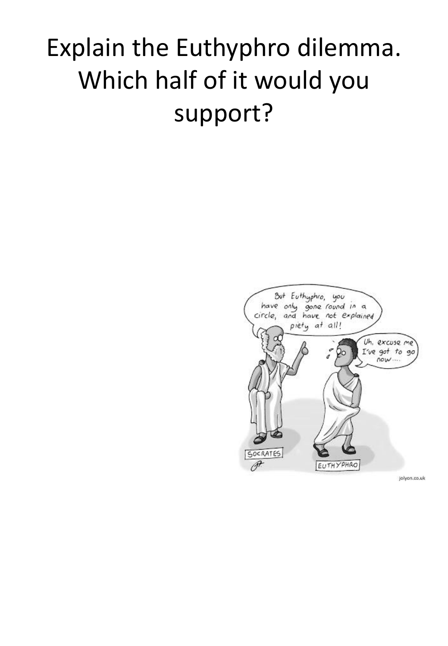## Explain the Euthyphro dilemma. Which half of it would you support?

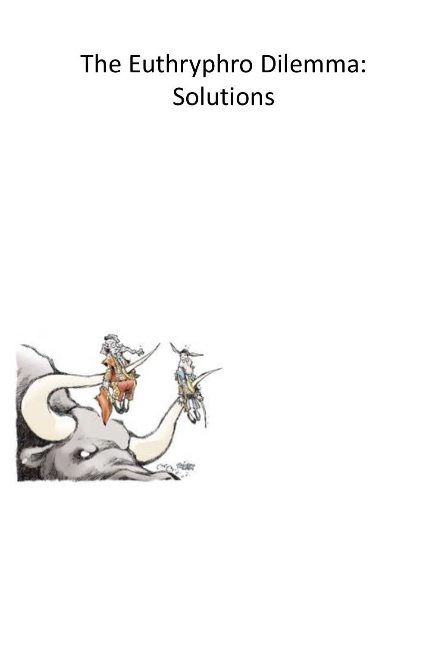## The Euthryphro Dilemma: Solutions

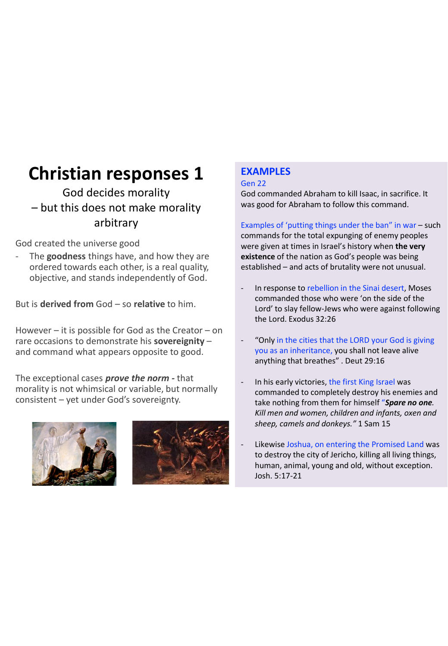### **Christian responses 1**

God decides morality – but this does not make morality arbitrary

God created the universe good

The **goodness** things have, and how they are ordered towards each other, is a real quality, objective, and stands independently of God.

But is **derived from** God – so **relative** to him.

However  $-$  it is possible for God as the Creator  $-$  on rare occasions to demonstrate his **sovereignity** – and command what appears opposite to good.

The exceptional cases *prove the norm -* that morality is not whimsical or variable, but normally consistent – yet under God's sovereignty.





#### **EXAMPLES**

#### Gen 22

God commanded Abraham to kill Isaac, in sacrifice. It was good for Abraham to follow this command.

Examples of 'putting things under the ban" in war – such commands for the total expunging of enemy peoples were given at times in Israel's history when **the very existence** of the nation as God's people was being established – and acts of brutality were not unusual.

- In response to rebellion in the Sinai desert, Moses commanded those who were 'on the side of the Lord' to slay fellow-Jews who were against following the Lord. Exodus 32:26
- "Only in the cities that the LORD your God is giving you as an inheritance, you shall not leave alive anything that breathes" . Deut 29:16
- In his early victories, the first King Israel was commanded to completely destroy his enemies and take nothing from them for himself "*Spare no one. Kill men and women, children and infants, oxen and sheep, camels and donkeys."* 1 Sam 15
- Likewise Joshua, on entering the Promised Land was to destroy the city of Jericho, killing all living things, human, animal, young and old, without exception. Josh. 5:17-21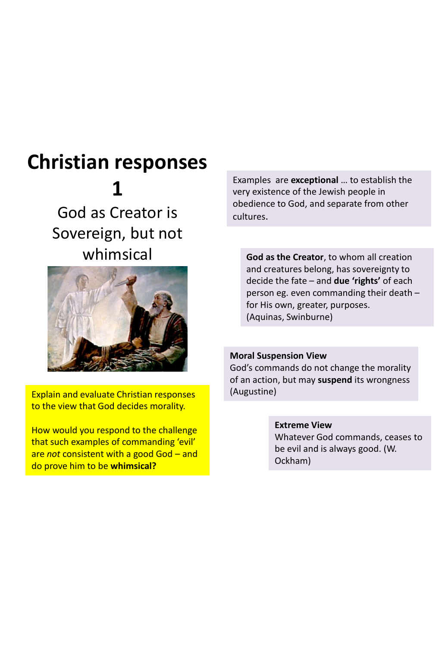### **Christian responses 1**

God as Creator is Sovereign, but not whimsical



Explain and evaluate Christian responses to the view that God decides morality.

How would you respond to the challenge that such examples of commanding 'evil' are *not* consistent with a good God – and do prove him to be **whimsical?**

Examples are **exceptional** … to establish the very existence of the Jewish people in obedience to God, and separate from other cultures.

**God as the Creator**, to whom all creation and creatures belong, has sovereignty to decide the fate – and **due 'rights'** of each person eg. even commanding their death – for His own, greater, purposes. (Aquinas, Swinburne)

#### **Moral Suspension View**

God's commands do not change the morality of an action, but may **suspend** its wrongness (Augustine)

> **Extreme View** Whatever God commands, ceases to be evil and is always good. (W. Ockham)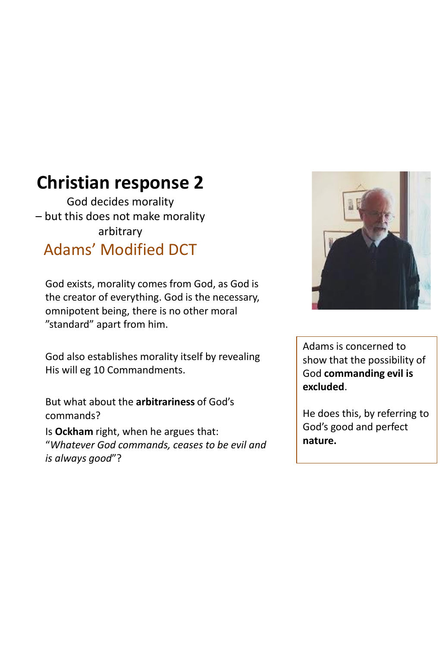### **Christian response 2**

God decides morality – but this does not make morality arbitrary Adams' Modified DCT

God exists, morality comes from God, as God is the creator of everything. God is the necessary, omnipotent being, there is no other moral "standard" apart from him.

God also establishes morality itself by revealing His will eg 10 Commandments.

But what about the **arbitrariness** of God's commands?

Is **Ockham** right, when he argues that: "*Whatever God commands, ceases to be evil and is always good*"?



Adams is concerned to show that the possibility of God **commanding evil is excluded**.

He does this, by referring to God's good and perfect **nature.**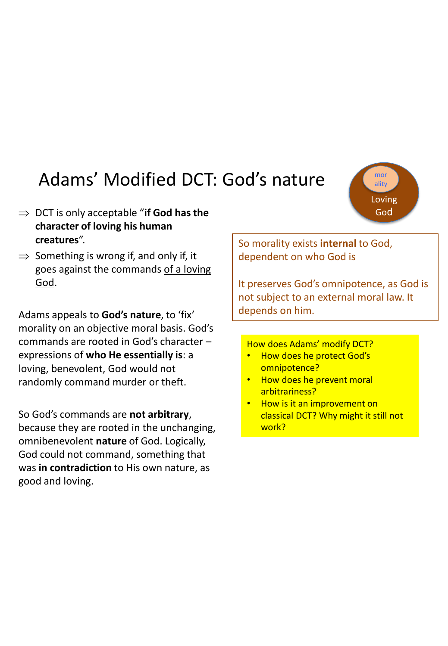### Adams' Modified DCT: God's nature

- $\Rightarrow$  DCT is only acceptable "**if God has the character of loving his human creatures**".
- $\Rightarrow$  Something is wrong if, and only if, it goes against the commands of a loving God.

Adams appeals to **God's nature**, to 'fix' morality on an objective moral basis. God's commands are rooted in God's character – expressions of **who He essentially is**: a loving, benevolent, God would not randomly command murder or theft.

So God's commands are **not arbitrary**, because they are rooted in the unchanging, omnibenevolent **nature** of God. Logically, God could not command, something that was **in contradiction** to His own nature, as good and loving.

So morality exists **internal** to God, dependent on who God is

It preserves God's omnipotence, as God is not subject to an external moral law. It depends on him.

#### How does Adams' modify DCT?

- How does he protect God's omnipotence?
- How does he prevent moral arbitrariness?
- How is it an improvement on classical DCT? Why might it still not work?

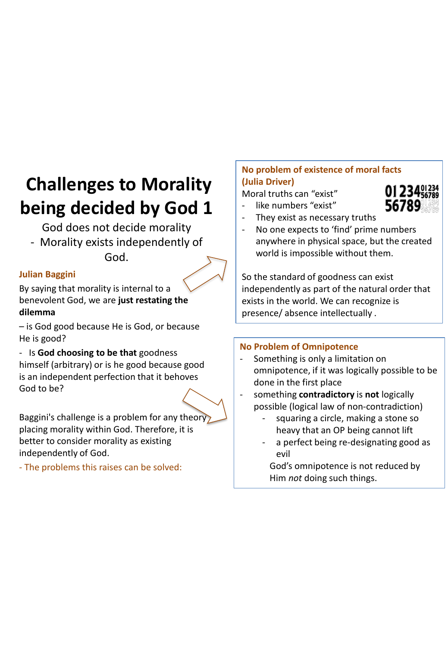### **Challenges to Morality being decided by God 1**

God does not decide morality

- Morality exists independently of God.

#### **Julian Baggini**

By saying that morality is internal to a benevolent God, we are **just restating the dilemma** 

– is God good because He is God, or because He is good?

- Is **God choosing to be that** goodness himself (arbitrary) or is he good because good is an independent perfection that it behoves God to be?

Baggini's challenge is a problem for any theory placing morality within God. Therefore, it is better to consider morality as existing independently of God.

- The problems this raises can be solved:

#### **No problem of existence of moral facts (Julia Driver)**

Moral truths can "exist" - like numbers "exist"



- They exist as necessary truths
- No one expects to 'find' prime numbers anywhere in physical space, but the created world is impossible without them.

So the standard of goodness can exist independently as part of the natural order that exists in the world. We can recognize is presence/ absence intellectually .

#### **No Problem of Omnipotence**

- Something is only a limitation on omnipotence, if it was logically possible to be done in the first place
- something **contradictory** is **not** logically possible (logical law of non-contradiction)
	- squaring a circle, making a stone so heavy that an OP being cannot lift
	- a perfect being re-designating good as evil

God's omnipotence is not reduced by Him *not* doing such things.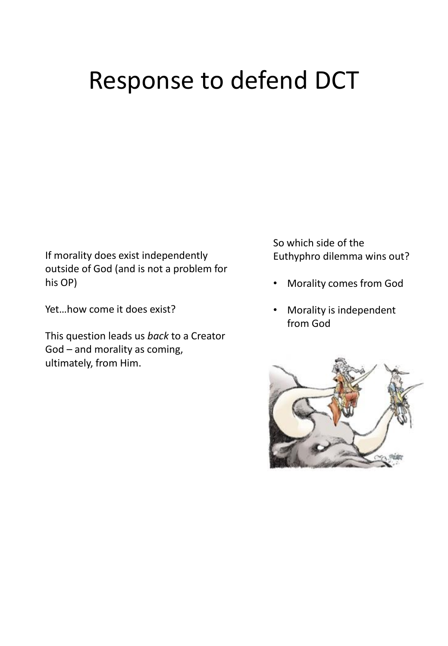## Response to defend DCT

If morality does exist independently outside of God (and is not a problem for his OP)

Yet…how come it does exist?

This question leads us *back* to a Creator God – and morality as coming, ultimately, from Him.

So which side of the Euthyphro dilemma wins out?

- Morality comes from God
- Morality is independent from God

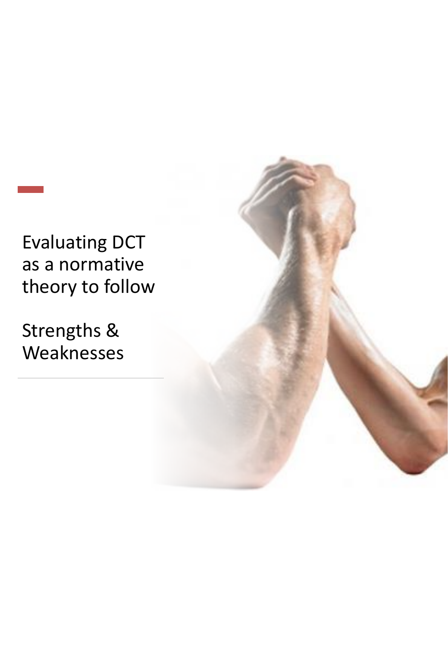### Evaluating DCT as a normative theory to follow

Strengths & Weaknesses

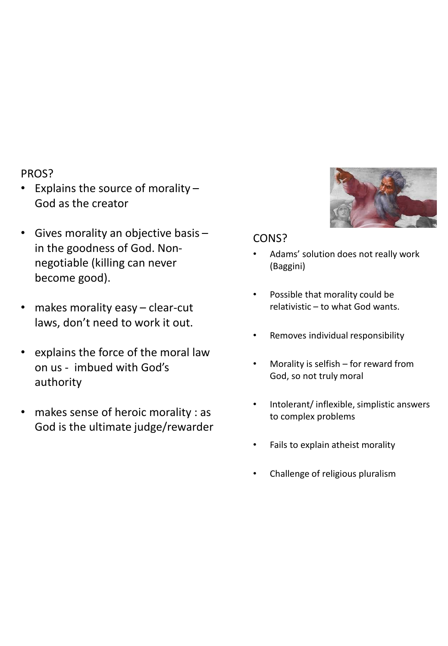#### PROS?

- Explains the source of morality God as the creator
- Gives morality an objective basis in the goodness of God. Nonnegotiable (killing can never become good).
- makes morality easy clear-cut laws, don't need to work it out.
- explains the force of the moral law on us - imbued with God's authority
- makes sense of heroic morality : as God is the ultimate judge/rewarder



#### CONS?

- Adams' solution does not really work (Baggini)
- Possible that morality could be relativistic – to what God wants.
- Removes individual responsibility
- Morality is selfish  $-$  for reward from God, so not truly moral
- Intolerant/ inflexible, simplistic answers to complex problems
- Fails to explain atheist morality
- Challenge of religious pluralism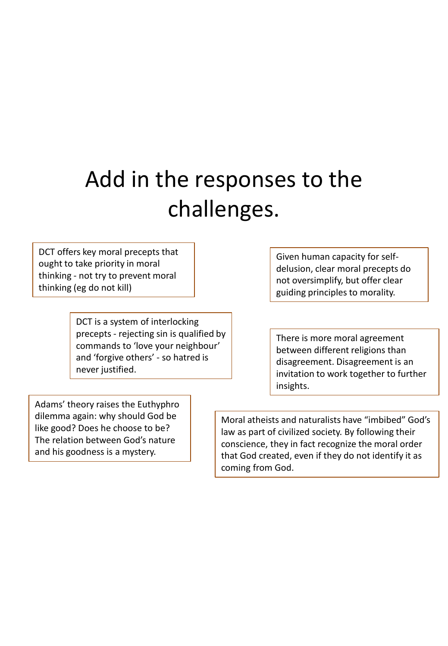## Add in the responses to the challenges.

DCT offers key moral precepts that ought to take priority in moral thinking - not try to prevent moral thinking (eg do not kill)

> DCT is a system of interlocking precepts - rejecting sin is qualified by commands to 'love your neighbour' and 'forgive others' - so hatred is never justified.

Given human capacity for selfdelusion, clear moral precepts do not oversimplify, but offer clear guiding principles to morality.

There is more moral agreement between different religions than disagreement. Disagreement is an invitation to work together to further insights.

Adams' theory raises the Euthyphro dilemma again: why should God be like good? Does he choose to be? The relation between God's nature and his goodness is a mystery.

Moral atheists and naturalists have "imbibed" God's law as part of civilized society. By following their conscience, they in fact recognize the moral order that God created, even if they do not identify it as coming from God.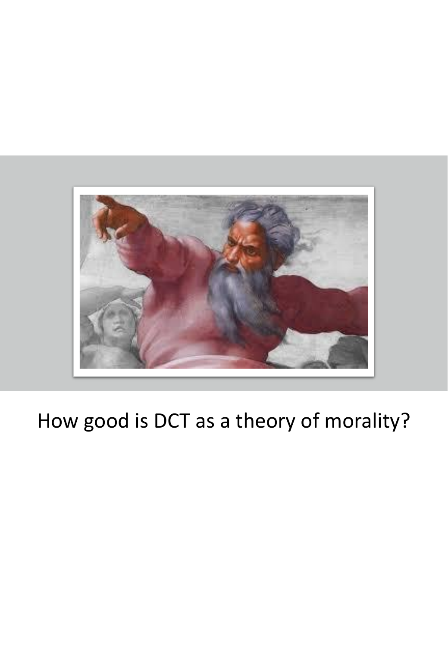

### How good is DCT as a theory of morality?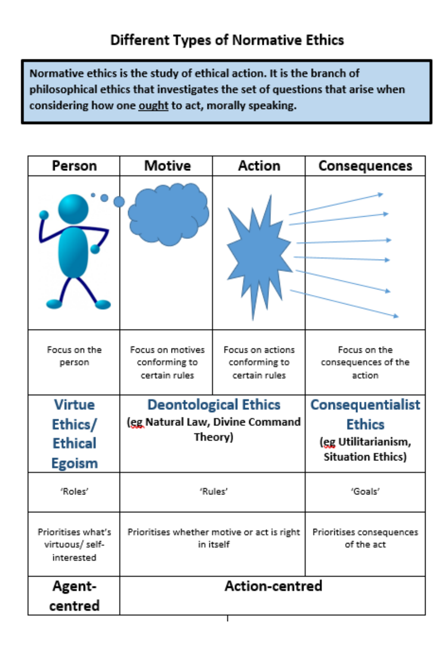Normative ethics is the study of ethical action. It is the branch of philosophical ethics that investigates the set of questions that arise when considering how one ought to act, morally speaking.

| Person                                              | Motive                                                   | <b>Action</b>                                      | Consequences                                  |
|-----------------------------------------------------|----------------------------------------------------------|----------------------------------------------------|-----------------------------------------------|
|                                                     |                                                          |                                                    |                                               |
| Focus on the<br>person                              | Focus on motives<br>conforming to<br>certain rules       | Focus on actions<br>conforming to<br>certain rules | Focus on the<br>consequences of the<br>action |
| <b>Virtue</b>                                       | <b>Deontological Ethics</b>                              |                                                    | <b>Consequentialist</b>                       |
| Ethics/                                             | (eg Natural Law, Divine Command                          |                                                    | <b>Ethics</b>                                 |
| <b>Ethical</b>                                      | Theory)                                                  |                                                    | (eg Utilitarianism,                           |
| <b>Egoism</b>                                       |                                                          |                                                    | <b>Situation Ethics)</b>                      |
| 'Roles'                                             | 'Rules'                                                  |                                                    | "Goals"                                       |
| Prioritises what's<br>virtuous/ self-<br>interested | Prioritises whether motive or act is right<br>in itself. |                                                    | Prioritises consequences<br>of the act        |
| Agent-                                              | Action-centred                                           |                                                    |                                               |
| centred                                             |                                                          |                                                    |                                               |